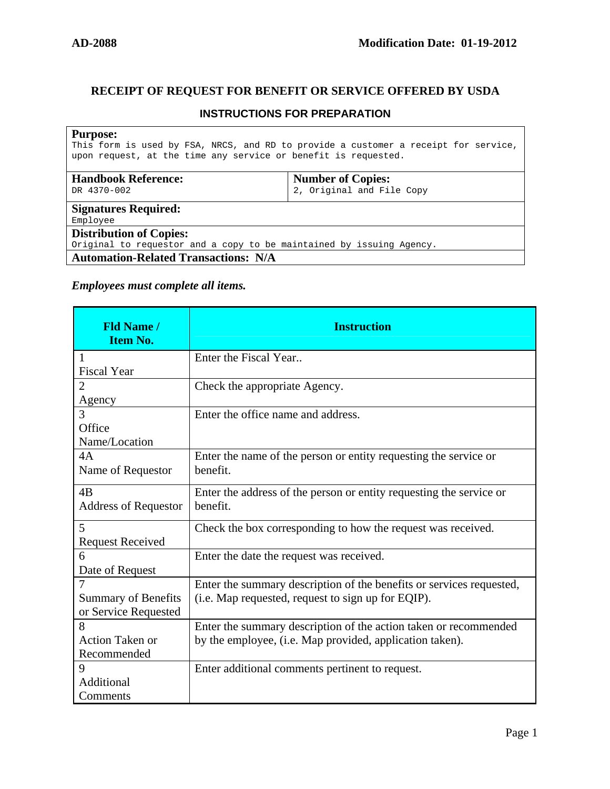## **RECEIPT OF REQUEST FOR BENEFIT OR SERVICE OFFERED BY USDA**

## **INSTRUCTIONS FOR PREPARATION**

## **Purpose:**

This form is used by FSA, NRCS, and RD to provide a customer a receipt for service, upon request, at the time any service or benefit is requested.

| <b>Handbook Reference:</b><br>DR 4370-002                                                                           | <b>Number of Copies:</b><br>2, Original and File Copy |  |
|---------------------------------------------------------------------------------------------------------------------|-------------------------------------------------------|--|
| <b>Signatures Required:</b><br>Employee                                                                             |                                                       |  |
| <b>Distribution of Copies:</b>                                                                                      |                                                       |  |
| Original to requestor and a copy to be maintained by issuing Agency.<br><b>Automation-Related Transactions: N/A</b> |                                                       |  |

## *Employees must complete all items.*

| <b>Fld Name /</b><br><b>Item No.</b> | <b>Instruction</b>                                                   |
|--------------------------------------|----------------------------------------------------------------------|
| 1                                    | Enter the Fiscal Year                                                |
| <b>Fiscal Year</b>                   |                                                                      |
| $\overline{2}$                       | Check the appropriate Agency.                                        |
| Agency                               |                                                                      |
| 3                                    | Enter the office name and address.                                   |
| Office                               |                                                                      |
| Name/Location                        |                                                                      |
| 4A                                   | Enter the name of the person or entity requesting the service or     |
| Name of Requestor                    | benefit.                                                             |
| 4B                                   | Enter the address of the person or entity requesting the service or  |
| <b>Address of Requestor</b>          | benefit.                                                             |
| 5                                    | Check the box corresponding to how the request was received.         |
| <b>Request Received</b>              |                                                                      |
| 6                                    | Enter the date the request was received.                             |
| Date of Request                      |                                                                      |
| $\tau$                               | Enter the summary description of the benefits or services requested, |
| <b>Summary of Benefits</b>           | (i.e. Map requested, request to sign up for EQIP).                   |
| or Service Requested                 |                                                                      |
| 8                                    | Enter the summary description of the action taken or recommended     |
| <b>Action Taken or</b>               | by the employee, (i.e. Map provided, application taken).             |
| Recommended                          |                                                                      |
| 9                                    | Enter additional comments pertinent to request.                      |
| Additional                           |                                                                      |
| Comments                             |                                                                      |